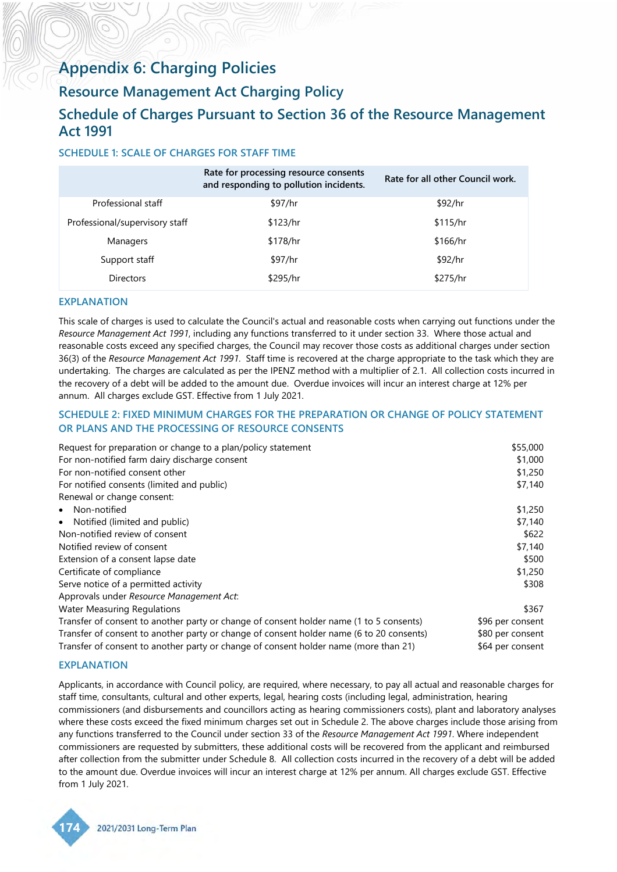# <span id="page-0-0"></span>**Appendix 6: Charging Policies**

# **Resource Management Act Charging Policy**

# **Schedule of Charges Pursuant to Section 36 of the Resource Management Act 1991**

# **SCHEDULE 1: SCALE OF CHARGES FOR STAFF TIME**

|                                | Rate for processing resource consents<br>and responding to pollution incidents. | Rate for all other Council work. |
|--------------------------------|---------------------------------------------------------------------------------|----------------------------------|
| Professional staff             | \$97/hr                                                                         | \$92/hr                          |
| Professional/supervisory staff | \$123/hr                                                                        | \$115/hr                         |
| Managers                       | \$178/hr                                                                        | \$166/hr                         |
| Support staff                  | \$97/hr                                                                         | \$92/hr                          |
| <b>Directors</b>               | \$295/hr                                                                        | \$275/hr                         |

## **EXPLANATION**

This scale of charges is used to calculate the Council's actual and reasonable costs when carrying out functions under the *Resource Management Act 1991*, including any functions transferred to it under section 33. Where those actual and reasonable costs exceed any specified charges, the Council may recover those costs as additional charges under section 36(3) of the *Resource Management Act 1991*. Staff time is recovered at the charge appropriate to the task which they are undertaking. The charges are calculated as per the IPENZ method with a multiplier of 2.1. All collection costs incurred in the recovery of a debt will be added to the amount due. Overdue invoices will incur an interest charge at 12% per annum. All charges exclude GST. Effective from 1 July 2021.

## **SCHEDULE 2: FIXED MINIMUM CHARGES FOR THE PREPARATION OR CHANGE OF POLICY STATEMENT OR PLANS AND THE PROCESSING OF RESOURCE CONSENTS**

| Request for preparation or change to a plan/policy statement                             | \$55,000         |
|------------------------------------------------------------------------------------------|------------------|
| For non-notified farm dairy discharge consent                                            | \$1,000          |
| For non-notified consent other                                                           | \$1,250          |
| For notified consents (limited and public)                                               | \$7,140          |
| Renewal or change consent:                                                               |                  |
| • Non-notified                                                                           | \$1,250          |
| • Notified (limited and public)                                                          | \$7,140          |
| Non-notified review of consent                                                           | \$622            |
| Notified review of consent                                                               | \$7,140          |
| Extension of a consent lapse date                                                        | \$500            |
| Certificate of compliance                                                                | \$1,250          |
| Serve notice of a permitted activity                                                     | \$308            |
| Approvals under Resource Management Act:                                                 |                  |
| <b>Water Measuring Regulations</b>                                                       | \$367            |
| Transfer of consent to another party or change of consent holder name (1 to 5 consents)  | \$96 per consent |
| Transfer of consent to another party or change of consent holder name (6 to 20 consents) | \$80 per consent |
| Transfer of consent to another party or change of consent holder name (more than 21)     | \$64 per consent |

## **EXPLANATION**

Applicants, in accordance with Council policy, are required, where necessary, to pay all actual and reasonable charges for staff time, consultants, cultural and other experts, legal, hearing costs (including legal, administration, hearing commissioners (and disbursements and councillors acting as hearing commissioners costs), plant and laboratory analyses where these costs exceed the fixed minimum charges set out in Schedule 2. The above charges include those arising from any functions transferred to the Council under section 33 of the *Resource Management Act 1991*. Where independent commissioners are requested by submitters, these additional costs will be recovered from the applicant and reimbursed after collection from the submitter under Schedule 8. All collection costs incurred in the recovery of a debt will be added to the amount due. Overdue invoices will incur an interest charge at 12% per annum. All charges exclude GST. Effective from 1 July 2021.

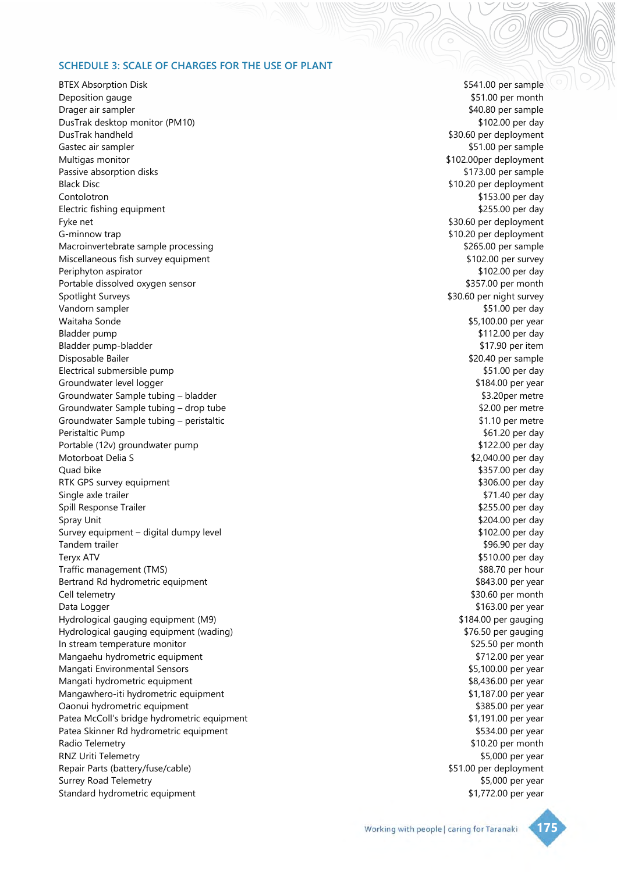#### <span id="page-1-0"></span>**SCHEDULE 3: SCALE OF CHARGES FOR THE USE OF PLANT**

BTEX Absorption Disk **\$541.00** per sample Deposition gauge **\$51.00** per month Drager air sampler \$40.80 per sample DusTrak desktop monitor (PM10) **by the state of the state of the state of the state of the state of the state of the state of the state of the state of the state of the state of the state of the state of the state of the s** DusTrak handheld \$30.60 per deployment Gastec air sampler  $$51.00$  per sample Multigas monitor  $$102.00$ per deployment Passive absorption disks **\$173.00** per sample Black Disc **10.20** per deployment **10.20** per deployment Contolotron \$153.00 per day Electric fishing equipment **Electric fishing equipment**  $\frac{1}{255.00}$  per day Fyke net **\$30.60 per deployment** G-minnow trap  $\sim$  50.20 per deployment Macroinvertebrate sample processing the state of the state of the state of the state of the state of the state of the state of the state of the state of the state of the state of the state of the state of the state of the Miscellaneous fish survey equipment  $$102.00$  per survey Periphyton aspirator  $$102.00$  per day Portable dissolved oxygen sensor **by a straight of the sensor** \$357.00 per month Spotlight Surveys **Spotlight Surveys**  $\sim$  S30.60 per night survey Vandorn sampler **but a struck of the set of the set of the set of the set of the set of the set of the set of the set of the set of the set of the set of the set of the set of the set of the set of the set of the set of th** Waitaha Sonde \$5,100.00 per year Bladder pump \$112.00 per day Bladder pump-bladder \$17.90 per item Disposable Bailer \$20.40 per sample Electrical submersible pump **but a submersible** pump **but a submersible** pump **\$51.00 per day** Groundwater level logger  $$184.00$  per year Groundwater Sample tubing – bladder **\$3.20per metre** \$3.20per metre Groundwater Sample tubing – drop tube \$2.00 per metre Groundwater Sample tubing – peristaltic and the state of the state of the state of the state of the state of the state of the state of the state of the state of the state of the state of the state of the state of the state Peristaltic Pump **\$61.20** per day Portable (12v) groundwater pump **by a strategies of the strategies of the strategies of the strategies of the strategies of the strategies of the strategies of the strategies of the strategies of the strategies of the stra** Motorboat Delia S<br>
\$2,040.00 per day Quad bike \$357.00 per day RTK GPS survey equipment **\$306.00** per day Single axle trailer  $$71.40$  per day Spill Response Trailer  $\sim$  8255.00 per day Spray Unit \$204.00 per day \$204.00 per day \$204.00 per day \$204.00 per day \$204.00 per day \$204.00 per day \$204.00 per day \$204.00 per day \$204.00 per day \$204.00 per day \$204.00 per day \$204.00 per day \$204.00 per day \$20 Survey equipment – digital dumpy level **\$102.00 per day** \$102.00 per day Tandem trailer \$96.90 per day and the state of the state of the state of the state of the state of the state of the state of the state of the state of the state of the state of the state of the state of the state of the st Teryx ATV \$510.00 per day Traffic management (TMS) **\$88.70** per hour Bertrand Rd hydrometric equipment **Example 2018 Bertrand Rd hydrometric equipment**  $\frac{1}{2}$ Cell telemetry \$30.60 per month Data Logger early and the state of the state of the state of the state of the state of the state of the state of the state of the state of the state of the state of the state of the state of the state of the state of the s Hydrological gauging equipment (M9) **\$184.00** per gauging \$184.00 per gauging Hydrological gauging equipment (wading) **\$76.50 per gauging** \$76.50 per gauging In stream temperature monitor **EXECUTE:** In stream temperature monitor **\$25.50** per month Mangaehu hydrometric equipment **by a straight and the set of the set of the set of the set of the set of the set of the set of the set of the set of the set of the set of the set of the set of the set of the set of the set** Mangati Environmental Sensors **by a strategies of the sense of the sense of the sense of the sense of the sense of the sense of the sense of the sense of the sense of the sense of the sense of the sense of the sense of the** Mangati hydrometric equipment **by a straight and the set of the set of the set of the set of the set of the set of the set of the set of the set of the set of the set of the set of the set of the set of the set of the set** Mangawhero-iti hydrometric equipment  $$1,187.00$  per year Oaonui hydrometric equipment \$385.00 per year Patea McColl's bridge hydrometric equipment **\$1,191.00** per year Patea Skinner Rd hydrometric equipment **\$534.00 per year** \$534.00 per year Radio Telemetry **1988 Radio Telemetry 1988 1998 1998 1998 1999 1999 1999 1999 1999 1999 1999 1999 1999 1999 1999 1999 1999 1999 1999 1999 1999 1999 1999 1999 1999 1999** RNZ Uriti Telemetry **\$5,000 per year** Repair Parts (battery/fuse/cable) 6. The part of the state of the state of the state of the state of the state of the state of the state of the state of the state of the state of the state of the state of the state of the Surrey Road Telemetry **\$5,000 per year** \$5,000 per year Standard hydrometric equipment **\$1,772.00** per year

Working with people | caring for Taranaki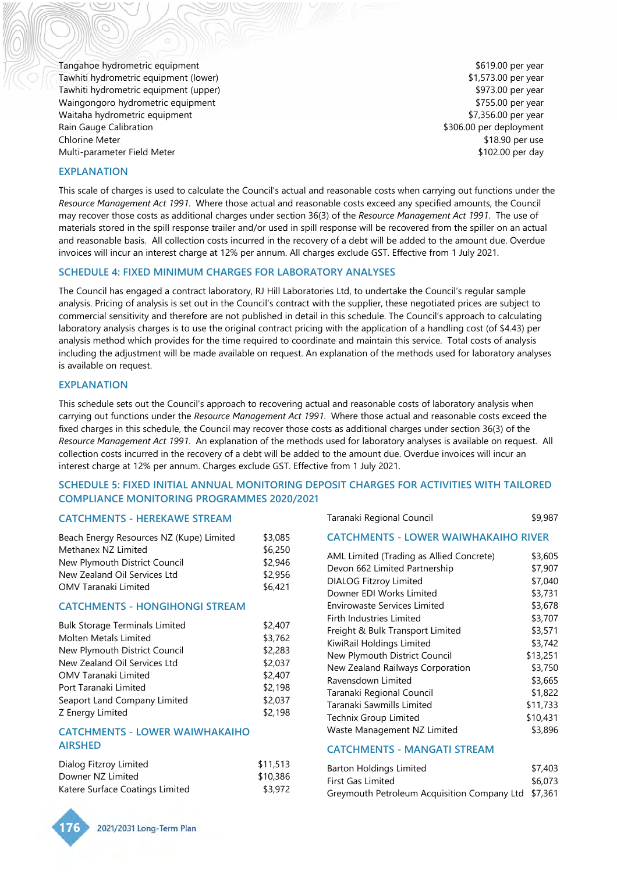<span id="page-2-0"></span>Tangahoe hydrometric equipment **\$619.00** per year Tawhiti hydrometric equipment (lower) **1.573.00 per year** \$1,573.00 per year Tawhiti hydrometric equipment (upper) **by the set of the set of the set of the set of the set of the set of the set of the set of the set of the set of the set of the set of the set of the set of the set of the set of the** Waingongoro hydrometric equipment **by the set of the set of the set of the set of the set of the set of the set o** Waitaha hydrometric equipment **\$7,356.00** per year Rain Gauge Calibration **by Calibration**  $\sim$  8306.00 per deployment Chlorine Meter \$18.90 per use Multi-parameter Field Meter **by a struck of the struck of the struck** of the struck of the struck of the struck of the struck of the struck of the struck of the struck of the struck of the struck of the struck of the struc

#### **EXPLANATION**

This scale of charges is used to calculate the Council's actual and reasonable costs when carrying out functions under the *Resource Management Act 1991*. Where those actual and reasonable costs exceed any specified amounts, the Council may recover those costs as additional charges under section 36(3) of the *Resource Management Act 1991*. The use of materials stored in the spill response trailer and/or used in spill response will be recovered from the spiller on an actual and reasonable basis. All collection costs incurred in the recovery of a debt will be added to the amount due. Overdue invoices will incur an interest charge at 12% per annum. All charges exclude GST. Effective from 1 July 2021.

#### **SCHEDULE 4: FIXED MINIMUM CHARGES FOR LABORATORY ANALYSES**

The Council has engaged a contract laboratory, RJ Hill Laboratories Ltd, to undertake the Council's regular sample analysis. Pricing of analysis is set out in the Council's contract with the supplier, these negotiated prices are subject to commercial sensitivity and therefore are not published in detail in this schedule. The Council's approach to calculating laboratory analysis charges is to use the original contract pricing with the application of a handling cost (of \$4.43) per analysis method which provides for the time required to coordinate and maintain this service. Total costs of analysis including the adjustment will be made available on request. An explanation of the methods used for laboratory analyses is available on request.

#### **EXPLANATION**

This schedule sets out the Council's approach to recovering actual and reasonable costs of laboratory analysis when carrying out functions under the *Resource Management Act 1991*. Where those actual and reasonable costs exceed the fixed charges in this schedule, the Council may recover those costs as additional charges under section 36(3) of the *Resource Management Act 1991*. An explanation of the methods used for laboratory analyses is available on request. All collection costs incurred in the recovery of a debt will be added to the amount due. Overdue invoices will incur an interest charge at 12% per annum. Charges exclude GST. Effective from 1 July 2021.

## **SCHEDULE 5: FIXED INITIAL ANNUAL MONITORING DEPOSIT CHARGES FOR ACTIVITIES WITH TAILORED COMPLIANCE MONITORING PROGRAMMES 2020/2021**

# **CATCHMENTS - HEREKAWE STREAM**

| Beach Energy Resources NZ (Kupe) Limited | \$3,085 |
|------------------------------------------|---------|
| Methanex NZ Limited                      | \$6,250 |
| New Plymouth District Council            | \$2.946 |
| New Zealand Oil Services Ltd             | \$2,956 |
| <b>OMV Taranaki Limited</b>              | \$6.421 |

# **CATCHMENTS - HONGIHONGI STREAM**

| <b>Bulk Storage Terminals Limited</b> | \$2,407 |
|---------------------------------------|---------|
| <b>Molten Metals Limited</b>          | \$3,762 |
| New Plymouth District Council         | \$2,283 |
| New Zealand Oil Services Ltd          | \$2,037 |
| <b>OMV Taranaki Limited</b>           | \$2,407 |
| Port Taranaki Limited                 | \$2,198 |
| Seaport Land Company Limited          | \$2,037 |
| Z Energy Limited                      | \$2,198 |

## **CATCHMENTS - LOWER WAIWHAKAIHO AIRSHED**

| Dialog Fitzroy Limited          | \$11,513 |
|---------------------------------|----------|
| Downer NZ Limited               | \$10,386 |
| Katere Surface Coatings Limited | \$3,972  |

| Taranaki Regional Council | \$9,987 |
|---------------------------|---------|
|                           |         |

| AML Limited (Trading as Allied Concrete) | \$3,605  |
|------------------------------------------|----------|
| Devon 662 Limited Partnership            | \$7,907  |
| <b>DIALOG Fitzroy Limited</b>            | \$7,040  |
| Downer EDI Works Limited                 | \$3,731  |
| Envirowaste Services Limited             | \$3,678  |
| Firth Industries Limited                 | \$3,707  |
| Freight & Bulk Transport Limited         | \$3,571  |
| KiwiRail Holdings Limited                | \$3,742  |
| New Plymouth District Council            | \$13,251 |
| New Zealand Railways Corporation         | \$3,750  |
| Ravensdown Limited                       | \$3,665  |
| Taranaki Regional Council                | \$1,822  |
| Taranaki Sawmills Limited                | \$11,733 |
| Technix Group Limited                    | \$10,431 |
| Waste Management NZ Limited              | \$3,896  |

#### **CATCHMENTS - MANGATI STREAM**

| Barton Holdings Limited                             | \$7,403 |
|-----------------------------------------------------|---------|
| <b>First Gas Limited</b>                            | \$6.073 |
| Greymouth Petroleum Acquisition Company Ltd \$7,361 |         |

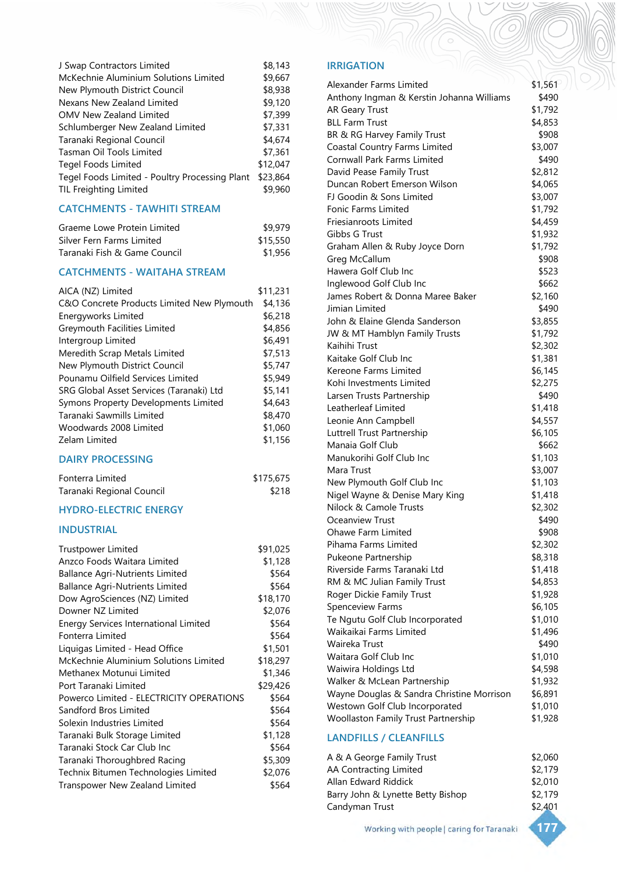| J Swap Contractors Limited                     | \$8,143  |
|------------------------------------------------|----------|
| McKechnie Aluminium Solutions Limited          | \$9,667  |
| New Plymouth District Council                  | \$8,938  |
| Nexans New Zealand Limited                     | \$9,120  |
| <b>OMV New Zealand Limited</b>                 | \$7,399  |
| Schlumberger New Zealand Limited               | \$7,331  |
| Taranaki Regional Council                      | \$4,674  |
| Tasman Oil Tools Limited                       | \$7,361  |
| Tegel Foods Limited                            | \$12,047 |
| Tegel Foods Limited - Poultry Processing Plant | \$23,864 |
| <b>TIL Freighting Limited</b>                  | \$9,960  |

# **CATCHMENTS - TAWHITI STREAM**

| Graeme Lowe Protein Limited  | \$9.979  |
|------------------------------|----------|
| Silver Fern Farms Limited    | \$15,550 |
| Taranaki Fish & Game Council | \$1.956  |

# **CATCHMENTS - WAITAHA STREAM**

| AICA (NZ) Limited                          | \$11,231 |
|--------------------------------------------|----------|
| C&O Concrete Products Limited New Plymouth | \$4,136  |
| Energyworks Limited                        | \$6,218  |
| Greymouth Facilities Limited               | \$4,856  |
| Intergroup Limited                         | \$6,491  |
| Meredith Scrap Metals Limited              | \$7,513  |
| New Plymouth District Council              | \$5,747  |
| Pounamu Oilfield Services Limited          | \$5,949  |
| SRG Global Asset Services (Taranaki) Ltd   | \$5,141  |
| Symons Property Developments Limited       | \$4,643  |
| Taranaki Sawmills Limited                  | \$8,470  |
| Woodwards 2008 Limited                     | \$1,060  |
| Zelam Limited                              | \$1,156  |

#### **DAIRY PROCESSING**

| Fonterra Limited          | \$175,675 |
|---------------------------|-----------|
| Taranaki Regional Council | \$218     |

# **HYDRO-ELECTRIC ENERGY**

# **INDUSTRIAL**

| <b>Trustpower Limited</b>                | \$91,025 |
|------------------------------------------|----------|
| Anzco Foods Waitara Limited              | \$1,128  |
| <b>Ballance Agri-Nutrients Limited</b>   | \$564    |
| <b>Ballance Agri-Nutrients Limited</b>   | \$564    |
| Dow AgroSciences (NZ) Limited            | \$18,170 |
| Downer NZ Limited                        | \$2,076  |
| Energy Services International Limited    | \$564    |
| Fonterra Limited                         | \$564    |
| Liquigas Limited - Head Office           | \$1,501  |
| McKechnie Aluminium Solutions Limited    | \$18,297 |
| Methanex Motunui Limited                 | \$1,346  |
| Port Taranaki Limited                    | \$29,426 |
| Powerco Limited - ELECTRICITY OPERATIONS | \$564    |
| Sandford Bros Limited                    | \$564    |
| Solexin Industries Limited               | \$564    |
| Taranaki Bulk Storage Limited            | \$1,128  |
| Taranaki Stock Car Club Inc              | \$564    |
| Taranaki Thoroughbred Racing             | \$5,309  |
| Technix Bitumen Technologies Limited     | \$2,076  |
| Transpower New Zealand Limited           | \$564    |

# **IRRIGATION**

| Alexander Farms Limited                    | \$1,561 |
|--------------------------------------------|---------|
| Anthony Ingman & Kerstin Johanna Williams  | \$490   |
| <b>AR Geary Trust</b>                      | \$1,792 |
| <b>BLL Farm Trust</b>                      | \$4,853 |
| BR & RG Harvey Family Trust                | \$908   |
| Coastal Country Farms Limited              | \$3,007 |
| Cornwall Park Farms Limited                | \$490   |
| David Pease Family Trust                   | \$2,812 |
| Duncan Robert Emerson Wilson               | \$4,065 |
| FJ Goodin & Sons Limited                   | \$3,007 |
| <b>Fonic Farms Limited</b>                 | \$1,792 |
| Friesianroots Limited                      | \$4,459 |
| Gibbs G Trust                              | \$1,932 |
| Graham Allen & Ruby Joyce Dorn             | \$1,792 |
| Greg McCallum                              | \$908   |
| Hawera Golf Club Inc                       | \$523   |
| Inglewood Golf Club Inc                    | \$662   |
| James Robert & Donna Maree Baker           | \$2,160 |
| Jimian Limited                             | \$490   |
| John & Elaine Glenda Sanderson             | \$3,855 |
| JW & MT Hamblyn Family Trusts              | \$1,792 |
| Kaihihi Trust                              | \$2,302 |
| Kaitake Golf Club Inc                      | \$1,381 |
| Kereone Farms Limited                      | \$6,145 |
| Kohi Investments Limited                   | \$2,275 |
| Larsen Trusts Partnership                  | \$490   |
| Leatherleaf Limited                        | \$1,418 |
| Leonie Ann Campbell                        | \$4,557 |
| Luttrell Trust Partnership                 | \$6,105 |
| Manaia Golf Club                           | \$662   |
| Manukorihi Golf Club Inc                   | \$1,103 |
| Mara Trust                                 | \$3,007 |
| New Plymouth Golf Club Inc                 | \$1,103 |
| Nigel Wayne & Denise Mary King             | \$1,418 |
| Nilock & Camole Trusts                     | \$2,302 |
| Oceanview Trust                            | \$490   |
| Ohawe Farm Limited                         | \$908   |
| Pihama Farms Limited                       | \$2,302 |
| Pukeone Partnership                        | \$8,318 |
| Riverside Farms Taranaki Ltd               | \$1,418 |
| RM & MC Julian Family Trust                | \$4,853 |
| Roger Dickie Family Trust                  | \$1,928 |
| Spenceview Farms                           | \$6,105 |
| Te Ngutu Golf Club Incorporated            | \$1,010 |
| Waikaikai Farms Limited                    | \$1,496 |
| Waireka Trust                              | \$490   |
| Waitara Golf Club Inc                      | \$1,010 |
| Waiwira Holdings Ltd                       | \$4,598 |
| Walker & McLean Partnership                | \$1,932 |
| Wayne Douglas & Sandra Christine Morrison  | \$6,891 |
| Westown Golf Club Incorporated             | \$1,010 |
| <b>Woollaston Family Trust Partnership</b> | \$1,928 |
|                                            |         |

#### **LANDFILLS / CLEANFILLS**

| A & A George Family Trust         | \$2,060 |
|-----------------------------------|---------|
| AA Contracting Limited            | \$2,179 |
| Allan Edward Riddick              | \$2,010 |
| Barry John & Lynette Betty Bishop | \$2.179 |
| Candyman Trust                    | \$2,401 |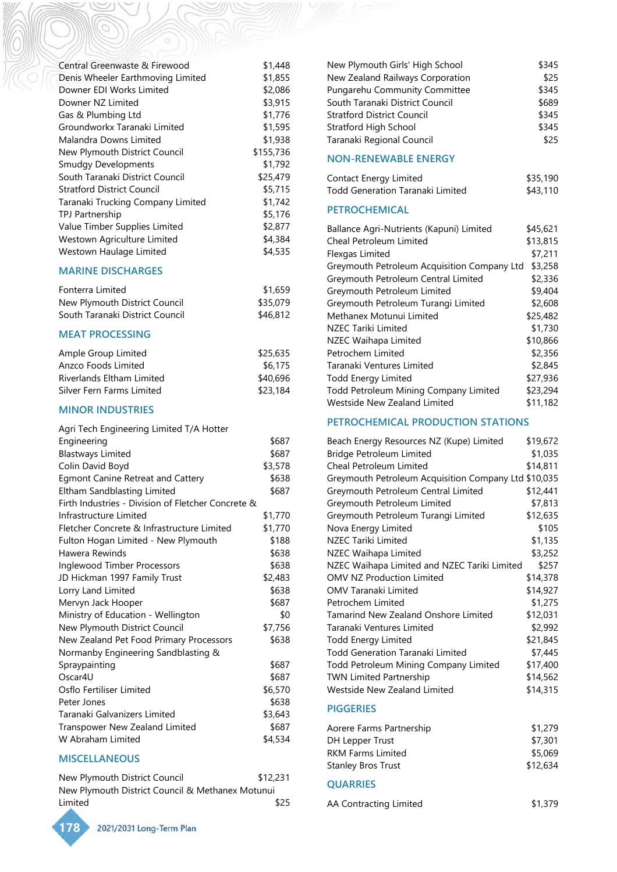| Central Greenwaste & Firewood     | \$1,448   |
|-----------------------------------|-----------|
| Denis Wheeler Earthmoving Limited | \$1,855   |
| Downer EDI Works Limited          | \$2,086   |
| Downer NZ Limited                 | \$3,915   |
| Gas & Plumbing Ltd                | \$1,776   |
| Groundworkx Taranaki Limited      | \$1,595   |
| Malandra Downs Limited            | \$1,938   |
| New Plymouth District Council     | \$155,736 |
| <b>Smudgy Developments</b>        | \$1,792   |
| South Taranaki District Council   | \$25,479  |
| <b>Stratford District Council</b> | \$5,715   |
| Taranaki Trucking Company Limited | \$1,742   |
| TPJ Partnership                   | \$5,176   |
| Value Timber Supplies Limited     | \$2,877   |
| Westown Agriculture Limited       | \$4,384   |
| Westown Haulage Limited           | \$4,535   |

# **MARINE DISCHARGES**

| Fonterra Limited                | \$1,659  |
|---------------------------------|----------|
| New Plymouth District Council   | \$35,079 |
| South Taranaki District Council | \$46,812 |

# **MEAT PROCESSING**

| Ample Group Limited       | \$25,635 |
|---------------------------|----------|
| Anzco Foods Limited       | \$6.175  |
| Riverlands Eltham Limited | \$40,696 |
| Silver Fern Farms Limited | \$23,184 |

# **MINOR INDUSTRIES**

| Agri Tech Engineering Limited T/A Hotter           |         |
|----------------------------------------------------|---------|
| Engineering                                        | \$687   |
| <b>Blastways Limited</b>                           | \$687   |
| Colin David Boyd                                   | \$3,578 |
| <b>Egmont Canine Retreat and Cattery</b>           | \$638   |
| Eltham Sandblasting Limited                        | \$687   |
| Firth Industries - Division of Fletcher Concrete & |         |
| Infrastructure Limited                             | \$1,770 |
| Fletcher Concrete & Infrastructure Limited         | \$1,770 |
| Fulton Hogan Limited - New Plymouth                | \$188   |
| Hawera Rewinds                                     | \$638   |
| Inglewood Timber Processors                        | \$638   |
| JD Hickman 1997 Family Trust                       | \$2,483 |
| Lorry Land Limited                                 | \$638   |
| Mervyn Jack Hooper                                 | \$687   |
| Ministry of Education - Wellington                 | \$0     |
| New Plymouth District Council                      | \$7,756 |
| New Zealand Pet Food Primary Processors            | \$638   |
| Normanby Engineering Sandblasting &                |         |
| Spraypainting                                      | \$687   |
| Oscar4U                                            | \$687   |
| Osflo Fertiliser Limited                           | \$6,570 |
| Peter Jones                                        | \$638   |
| Taranaki Galvanizers Limited                       | \$3,643 |
| Transpower New Zealand Limited                     | \$687   |
| W Abraham Limited                                  | \$4,534 |

## **MISCELLANEOUS**

**178**

| New Plymouth District Council                    | \$12,231 |
|--------------------------------------------------|----------|
| New Plymouth District Council & Methanex Motunui |          |
| Limited                                          | \$25     |

| New Plymouth Girls' High School      | \$345 |
|--------------------------------------|-------|
| New Zealand Railways Corporation     | \$25  |
| <b>Pungarehu Community Committee</b> | \$345 |
| South Taranaki District Council      | \$689 |
| <b>Stratford District Council</b>    | \$345 |
| Stratford High School                | \$345 |
| Taranaki Regional Council            | \$25  |

#### **NON-RENEWABLE ENERGY**

| Contact Energy Limited           | \$35,190 |
|----------------------------------|----------|
| Todd Generation Taranaki Limited | \$43,110 |

# **PETROCHEMICAL**

| Ballance Agri-Nutrients (Kapuni) Limited |                                             | \$45,621 |
|------------------------------------------|---------------------------------------------|----------|
| Cheal Petroleum Limited                  |                                             | \$13,815 |
| Flexgas Limited                          |                                             | \$7,211  |
|                                          | Greymouth Petroleum Acquisition Company Ltd | \$3,258  |
| Greymouth Petroleum Central Limited      |                                             | \$2,336  |
| Greymouth Petroleum Limited              |                                             | \$9,404  |
| Greymouth Petroleum Turangi Limited      |                                             | \$2,608  |
| Methanex Motunui Limited                 |                                             | \$25,482 |
| NZEC Tariki Limited                      |                                             | \$1,730  |
| NZEC Waihapa Limited                     |                                             | \$10,866 |
| Petrochem Limited                        |                                             | \$2,356  |
| Taranaki Ventures Limited                |                                             | \$2,845  |
| <b>Todd Energy Limited</b>               |                                             | \$27,936 |
| Todd Petroleum Mining Company Limited    |                                             | \$23,294 |
| Westside New Zealand Limited             |                                             | \$11,182 |

# **PETROCHEMICAL PRODUCTION STATIONS**

| Beach Energy Resources NZ (Kupe) Limited             | \$19,672 |
|------------------------------------------------------|----------|
| <b>Bridge Petroleum Limited</b>                      | \$1,035  |
| Cheal Petroleum Limited                              | \$14,811 |
| Greymouth Petroleum Acquisition Company Ltd \$10,035 |          |
| Greymouth Petroleum Central Limited                  | \$12,441 |
| Greymouth Petroleum Limited                          | \$7,813  |
| Greymouth Petroleum Turangi Limited                  | \$12,635 |
| Nova Energy Limited                                  | \$105    |
| NZEC Tariki Limited                                  | \$1,135  |
| NZEC Waihapa Limited                                 | \$3,252  |
| NZEC Waihapa Limited and NZEC Tariki Limited         | \$257    |
| <b>OMV NZ Production Limited</b>                     | \$14,378 |
| <b>OMV Taranaki Limited</b>                          | \$14,927 |
| Petrochem Limited                                    | \$1,275  |
| Tamarind New Zealand Onshore Limited                 | \$12,031 |
| Taranaki Ventures Limited                            | \$2,992  |
| <b>Todd Energy Limited</b>                           | \$21,845 |
| <b>Todd Generation Taranaki Limited</b>              | \$7,445  |
| Todd Petroleum Mining Company Limited                | \$17,400 |
| <b>TWN Limited Partnership</b>                       | \$14,562 |
| Westside New Zealand Limited                         | \$14,315 |
| <b>PIGGERIES</b>                                     |          |
| Aorere Farms Partnership                             | \$1,279  |
| DH Lepper Trust                                      | \$7,301  |
| <b>RKM Farms Limited</b>                             | \$5,069  |
| <b>Stanley Bros Trust</b>                            | \$12,634 |
| <b>OUARRIES</b>                                      |          |

AA Contracting Limited \$1,379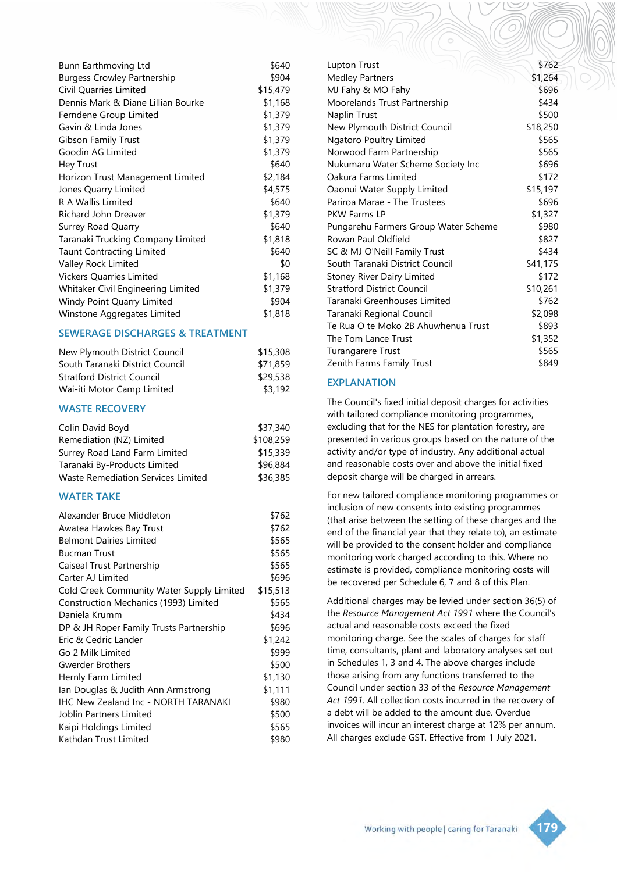| Bunn Earthmoving Ltd               | \$640    |
|------------------------------------|----------|
| <b>Burgess Crowley Partnership</b> | \$904    |
| Civil Quarries Limited             | \$15,479 |
| Dennis Mark & Diane Lillian Bourke | \$1,168  |
| Ferndene Group Limited             | \$1,379  |
| Gavin & Linda Jones                | \$1,379  |
| Gibson Family Trust                | \$1,379  |
| Goodin AG Limited                  | \$1,379  |
| Hey Trust                          | \$640    |
| Horizon Trust Management Limited   | \$2,184  |
| Jones Quarry Limited               | \$4,575  |
| R A Wallis Limited                 | \$640    |
| Richard John Dreaver               | \$1,379  |
| <b>Surrey Road Quarry</b>          | \$640    |
| Taranaki Trucking Company Limited  | \$1,818  |
| <b>Taunt Contracting Limited</b>   | \$640    |
| Valley Rock Limited                | \$0      |
| <b>Vickers Quarries Limited</b>    | \$1,168  |
| Whitaker Civil Engineering Limited | \$1,379  |
| Windy Point Quarry Limited         | \$904    |
| Winstone Aggregates Limited        | \$1,818  |

# **SEWERAGE DISCHARGES & TREATMENT**

| \$15,308 |
|----------|
| \$71,859 |
| \$29,538 |
| \$3.192  |
|          |

#### **WASTE RECOVERY**

| Colin David Boyd                   | \$37,340  |
|------------------------------------|-----------|
| Remediation (NZ) Limited           | \$108,259 |
| Surrey Road Land Farm Limited      | \$15,339  |
| Taranaki By-Products Limited       | \$96,884  |
| Waste Remediation Services Limited | \$36,385  |

#### **WATER TAKE**

| Alexander Bruce Middleton                   | \$762    |
|---------------------------------------------|----------|
| Awatea Hawkes Bay Trust                     | \$762    |
| <b>Belmont Dairies Limited</b>              | \$565    |
| <b>Bucman Trust</b>                         | \$565    |
| Caiseal Trust Partnership                   | \$565    |
| Carter AJ Limited                           | \$696    |
| Cold Creek Community Water Supply Limited   | \$15,513 |
| Construction Mechanics (1993) Limited       | \$565    |
| Daniela Krumm                               | \$434    |
| DP & JH Roper Family Trusts Partnership     | \$696    |
| Eric & Cedric Lander                        | \$1,242  |
| Go 2 Milk Limited                           | \$999    |
| Gwerder Brothers                            | \$500    |
| Hernly Farm Limited                         | \$1,130  |
| lan Douglas & Judith Ann Armstrong          | \$1,111  |
| <b>IHC New Zealand Inc - NORTH TARANAKI</b> | \$980    |
| Joblin Partners Limited                     | \$500    |
| Kaipi Holdings Limited                      | \$565    |
| Kathdan Trust Limited                       | \$980    |

| Lupton Trust                         | \$762    |
|--------------------------------------|----------|
| <b>Medley Partners</b>               | \$1,264  |
| MJ Fahy & MO Fahy                    | \$696    |
| Moorelands Trust Partnership         | \$434    |
| Naplin Trust                         | \$500    |
| New Plymouth District Council        | \$18,250 |
| <b>Ngatoro Poultry Limited</b>       | \$565    |
| Norwood Farm Partnership             | \$565    |
| Nukumaru Water Scheme Society Inc    | \$696    |
| Oakura Farms Limited                 | \$172    |
| Oaonui Water Supply Limited          | \$15,197 |
| Pariroa Marae - The Trustees         | \$696    |
| <b>PKW Farms LP</b>                  | \$1,327  |
| Pungarehu Farmers Group Water Scheme | \$980    |
| Rowan Paul Oldfield                  | \$827    |
| SC & MJ O'Neill Family Trust         | \$434    |
| South Taranaki District Council      | \$41,175 |
| <b>Stoney River Dairy Limited</b>    | \$172    |
| <b>Stratford District Council</b>    | \$10,261 |
| Taranaki Greenhouses Limited         | \$762    |
| Taranaki Regional Council            | \$2,098  |
| Te Rua O te Moko 2B Ahuwhenua Trust  | \$893    |
| The Tom Lance Trust                  | \$1,352  |
| <b>Turangarere Trust</b>             | \$565    |
| Zenith Farms Family Trust            | \$849    |
|                                      |          |

#### **EXPLANATION**

The Council's fixed initial deposit charges for activities with tailored compliance monitoring programmes, excluding that for the NES for plantation forestry, are presented in various groups based on the nature of the activity and/or type of industry. Any additional actual and reasonable costs over and above the initial fixed deposit charge will be charged in arrears.

For new tailored compliance monitoring programmes or inclusion of new consents into existing programmes (that arise between the setting of these charges and the end of the financial year that they relate to), an estimate will be provided to the consent holder and compliance monitoring work charged according to this. Where no estimate is provided, compliance monitoring costs will be recovered per Schedule 6, 7 and 8 of this Plan.

Additional charges may be levied under section 36(5) of the *Resource Management Act 1991* where the Council's actual and reasonable costs exceed the fixed monitoring charge. See the scales of charges for staff time, consultants, plant and laboratory analyses set out in Schedules 1, 3 and 4. The above charges include those arising from any functions transferred to the Council under section 33 of the *Resource Management Act 1991*. All collection costs incurred in the recovery of a debt will be added to the amount due. Overdue invoices will incur an interest charge at 12% per annum. All charges exclude GST. Effective from 1 July 2021.

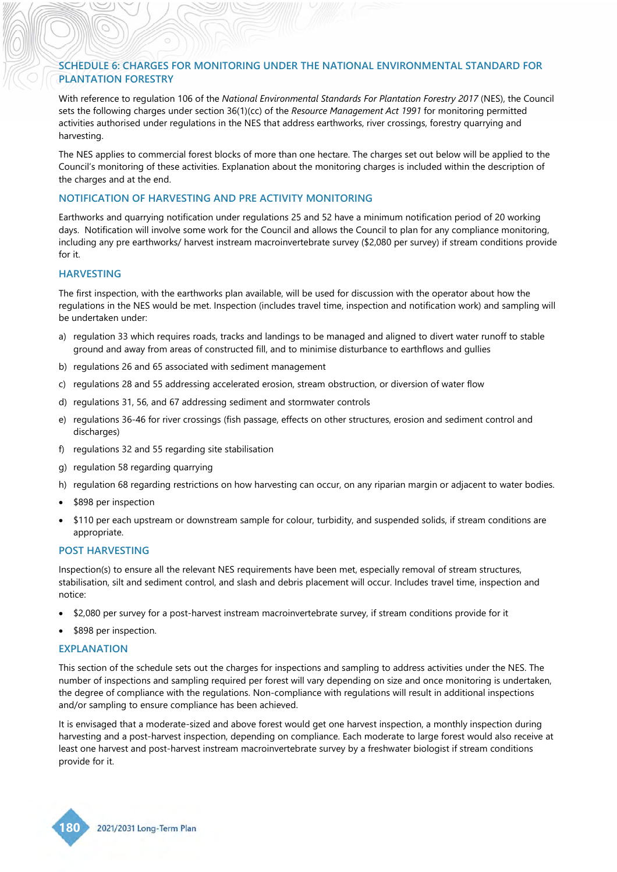# **SCHEDULE 6: CHARGES FOR MONITORING UNDER THE NATIONAL ENVIRONMENTAL STANDARD FOR PLANTATION FORESTRY**

With reference to regulation 106 of the *National Environmental Standards For Plantation Forestry 2017* (NES), the Council sets the following charges under section 36(1)(cc) of the *Resource Management Act 1991* for monitoring permitted activities authorised under regulations in the NES that address earthworks, river crossings, forestry quarrying and harvesting.

The NES applies to commercial forest blocks of more than one hectare. The charges set out below will be applied to the Council's monitoring of these activities. Explanation about the monitoring charges is included within the description of the charges and at the end.

#### **NOTIFICATION OF HARVESTING AND PRE ACTIVITY MONITORING**

Earthworks and quarrying notification under regulations 25 and 52 have a minimum notification period of 20 working days. Notification will involve some work for the Council and allows the Council to plan for any compliance monitoring, including any pre earthworks/ harvest instream macroinvertebrate survey (\$2,080 per survey) if stream conditions provide for it.

#### **HARVESTING**

The first inspection, with the earthworks plan available, will be used for discussion with the operator about how the regulations in the NES would be met. Inspection (includes travel time, inspection and notification work) and sampling will be undertaken under:

- a) regulation 33 which requires roads, tracks and landings to be managed and aligned to divert water runoff to stable ground and away from areas of constructed fill, and to minimise disturbance to earthflows and gullies
- b) regulations 26 and 65 associated with sediment management
- c) regulations 28 and 55 addressing accelerated erosion, stream obstruction, or diversion of water flow
- d) regulations 31, 56, and 67 addressing sediment and stormwater controls
- e) regulations 36-46 for river crossings (fish passage, effects on other structures, erosion and sediment control and discharges)
- f) regulations 32 and 55 regarding site stabilisation
- g) regulation 58 regarding quarrying
- h) regulation 68 regarding restrictions on how harvesting can occur, on any riparian margin or adjacent to water bodies.
- \$898 per inspection
- \$110 per each upstream or downstream sample for colour, turbidity, and suspended solids, if stream conditions are appropriate.

#### **POST HARVESTING**

Inspection(s) to ensure all the relevant NES requirements have been met, especially removal of stream structures, stabilisation, silt and sediment control, and slash and debris placement will occur. Includes travel time, inspection and notice:

- \$2,080 per survey for a post-harvest instream macroinvertebrate survey, if stream conditions provide for it
- \$898 per inspection.

#### **EXPLANATION**

This section of the schedule sets out the charges for inspections and sampling to address activities under the NES. The number of inspections and sampling required per forest will vary depending on size and once monitoring is undertaken, the degree of compliance with the regulations. Non-compliance with regulations will result in additional inspections and/or sampling to ensure compliance has been achieved.

It is envisaged that a moderate-sized and above forest would get one harvest inspection, a monthly inspection during harvesting and a post-harvest inspection, depending on compliance. Each moderate to large forest would also receive at least one harvest and post-harvest instream macroinvertebrate survey by a freshwater biologist if stream conditions provide for it.

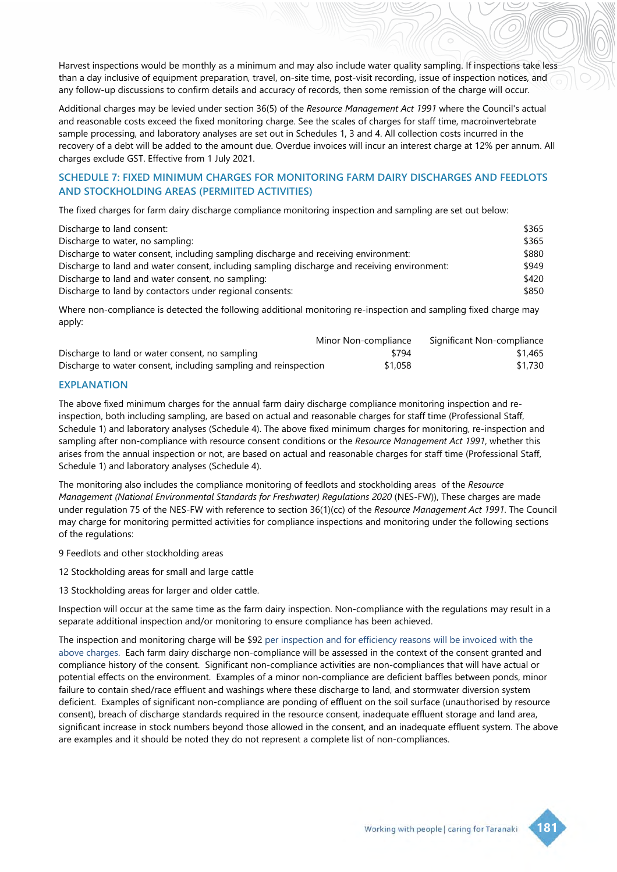Harvest inspections would be monthly as a minimum and may also include water quality sampling. If inspections take less than a day inclusive of equipment preparation, travel, on-site time, post-visit recording, issue of inspection notices, and any follow-up discussions to confirm details and accuracy of records, then some remission of the charge will occur.

Additional charges may be levied under section 36(5) of the *Resource Management Act 1991* where the Council's actual and reasonable costs exceed the fixed monitoring charge. See the scales of charges for staff time, macroinvertebrate sample processing, and laboratory analyses are set out in Schedules 1, 3 and 4. All collection costs incurred in the recovery of a debt will be added to the amount due. Overdue invoices will incur an interest charge at 12% per annum. All charges exclude GST. Effective from 1 July 2021.

# **SCHEDULE 7: FIXED MINIMUM CHARGES FOR MONITORING FARM DAIRY DISCHARGES AND FEEDLOTS AND STOCKHOLDING AREAS (PERMIITED ACTIVITIES)**

The fixed charges for farm dairy discharge compliance monitoring inspection and sampling are set out below:

| Discharge to land consent:                                                                   | \$365 |
|----------------------------------------------------------------------------------------------|-------|
| Discharge to water, no sampling:                                                             | \$365 |
| Discharge to water consent, including sampling discharge and receiving environment:          | \$880 |
| Discharge to land and water consent, including sampling discharge and receiving environment: | \$949 |
| Discharge to land and water consent, no sampling:                                            | \$420 |
| Discharge to land by contactors under regional consents:                                     | \$850 |

Where non-compliance is detected the following additional monitoring re-inspection and sampling fixed charge may apply:

|                                                                 | Minor Non-compliance | Significant Non-compliance |
|-----------------------------------------------------------------|----------------------|----------------------------|
| Discharge to land or water consent, no sampling                 | \$794                | \$1,465                    |
| Discharge to water consent, including sampling and reinspection | \$1,058              | \$1,730                    |

#### **EXPLANATION**

The above fixed minimum charges for the annual farm dairy discharge compliance monitoring inspection and reinspection, both including sampling, are based on actual and reasonable charges for staff time (Professional Staff, Schedule 1) and laboratory analyses (Schedule 4). The above fixed minimum charges for monitoring, re-inspection and sampling after non-compliance with resource consent conditions or the *Resource Management Act 1991*, whether this arises from the annual inspection or not, are based on actual and reasonable charges for staff time (Professional Staff, Schedule 1) and laboratory analyses (Schedule 4).

The monitoring also includes the compliance monitoring of feedlots and stockholding areas of the *Resource Management (National Environmental Standards for Freshwater) Regulations 2020* (NES-FW)), These charges are made under regulation 75 of the NES-FW with reference to section 36(1)(cc) of the *Resource Management Act 1991*. The Council may charge for monitoring permitted activities for compliance inspections and monitoring under the following sections of the regulations:

9 Feedlots and other stockholding areas

12 Stockholding areas for small and large cattle

13 Stockholding areas for larger and older cattle.

Inspection will occur at the same time as the farm dairy inspection. Non-compliance with the regulations may result in a separate additional inspection and/or monitoring to ensure compliance has been achieved.

The inspection and monitoring charge will be \$92 per inspection and for efficiency reasons will be invoiced with the above charges. Each farm dairy discharge non-compliance will be assessed in the context of the consent granted and compliance history of the consent. Significant non-compliance activities are non-compliances that will have actual or potential effects on the environment. Examples of a minor non-compliance are deficient baffles between ponds, minor failure to contain shed/race effluent and washings where these discharge to land, and stormwater diversion system deficient. Examples of significant non-compliance are ponding of effluent on the soil surface (unauthorised by resource consent), breach of discharge standards required in the resource consent, inadequate effluent storage and land area, significant increase in stock numbers beyond those allowed in the consent, and an inadequate effluent system. The above are examples and it should be noted they do not represent a complete list of non-compliances.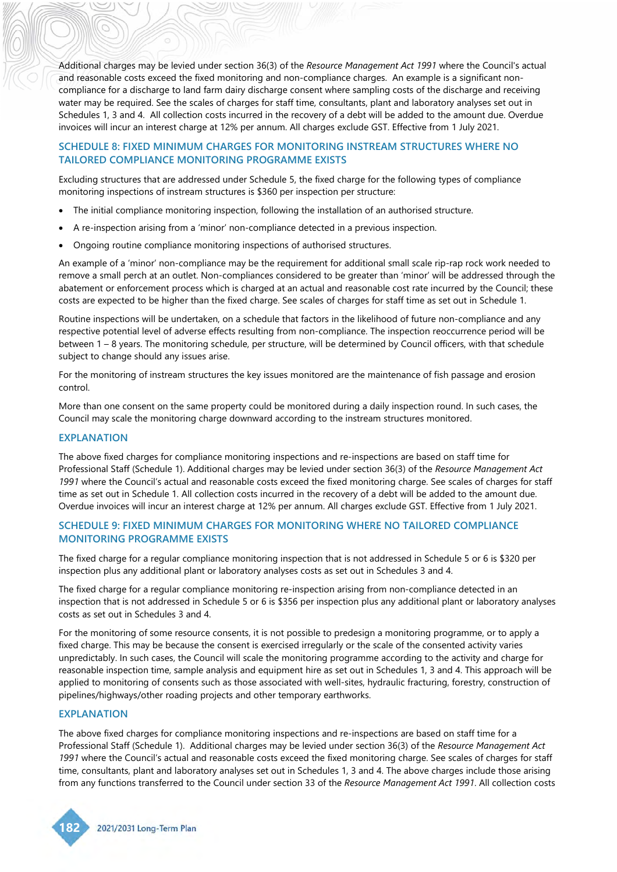Additional charges may be levied under section 36(3) of the *Resource Management Act 1991* where the Council's actual and reasonable costs exceed the fixed monitoring and non-compliance charges. An example is a significant noncompliance for a discharge to land farm dairy discharge consent where sampling costs of the discharge and receiving water may be required. See the scales of charges for staff time, consultants, plant and laboratory analyses set out in Schedules 1, 3 and 4. All collection costs incurred in the recovery of a debt will be added to the amount due. Overdue invoices will incur an interest charge at 12% per annum. All charges exclude GST. Effective from 1 July 2021.

## **SCHEDULE 8: FIXED MINIMUM CHARGES FOR MONITORING INSTREAM STRUCTURES WHERE NO TAILORED COMPLIANCE MONITORING PROGRAMME EXISTS**

Excluding structures that are addressed under Schedule 5, the fixed charge for the following types of compliance monitoring inspections of instream structures is \$360 per inspection per structure:

- The initial compliance monitoring inspection, following the installation of an authorised structure.
- A re-inspection arising from a 'minor' non-compliance detected in a previous inspection.
- Ongoing routine compliance monitoring inspections of authorised structures.

An example of a 'minor' non-compliance may be the requirement for additional small scale rip-rap rock work needed to remove a small perch at an outlet. Non-compliances considered to be greater than 'minor' will be addressed through the abatement or enforcement process which is charged at an actual and reasonable cost rate incurred by the Council; these costs are expected to be higher than the fixed charge. See scales of charges for staff time as set out in Schedule 1.

Routine inspections will be undertaken, on a schedule that factors in the likelihood of future non-compliance and any respective potential level of adverse effects resulting from non-compliance. The inspection reoccurrence period will be between 1 – 8 years. The monitoring schedule, per structure, will be determined by Council officers, with that schedule subject to change should any issues arise.

For the monitoring of instream structures the key issues monitored are the maintenance of fish passage and erosion control.

More than one consent on the same property could be monitored during a daily inspection round. In such cases, the Council may scale the monitoring charge downward according to the instream structures monitored.

#### **EXPLANATION**

The above fixed charges for compliance monitoring inspections and re-inspections are based on staff time for Professional Staff (Schedule 1). Additional charges may be levied under section 36(3) of the *Resource Management Act 1991* where the Council's actual and reasonable costs exceed the fixed monitoring charge. See scales of charges for staff time as set out in Schedule 1. All collection costs incurred in the recovery of a debt will be added to the amount due. Overdue invoices will incur an interest charge at 12% per annum. All charges exclude GST. Effective from 1 July 2021.

## **SCHEDULE 9: FIXED MINIMUM CHARGES FOR MONITORING WHERE NO TAILORED COMPLIANCE MONITORING PROGRAMME EXISTS**

The fixed charge for a regular compliance monitoring inspection that is not addressed in Schedule 5 or 6 is \$320 per inspection plus any additional plant or laboratory analyses costs as set out in Schedules 3 and 4.

The fixed charge for a regular compliance monitoring re-inspection arising from non-compliance detected in an inspection that is not addressed in Schedule 5 or 6 is \$356 per inspection plus any additional plant or laboratory analyses costs as set out in Schedules 3 and 4.

For the monitoring of some resource consents, it is not possible to predesign a monitoring programme, or to apply a fixed charge. This may be because the consent is exercised irregularly or the scale of the consented activity varies unpredictably. In such cases, the Council will scale the monitoring programme according to the activity and charge for reasonable inspection time, sample analysis and equipment hire as set out in Schedules 1, 3 and 4. This approach will be applied to monitoring of consents such as those associated with well-sites, hydraulic fracturing, forestry, construction of pipelines/highways/other roading projects and other temporary earthworks.

#### **EXPLANATION**

The above fixed charges for compliance monitoring inspections and re-inspections are based on staff time for a Professional Staff (Schedule 1). Additional charges may be levied under section 36(3) of the *Resource Management Act 1991* where the Council's actual and reasonable costs exceed the fixed monitoring charge. See scales of charges for staff time, consultants, plant and laboratory analyses set out in Schedules 1, 3 and 4. The above charges include those arising from any functions transferred to the Council under section 33 of the *Resource Management Act 1991*. All collection costs

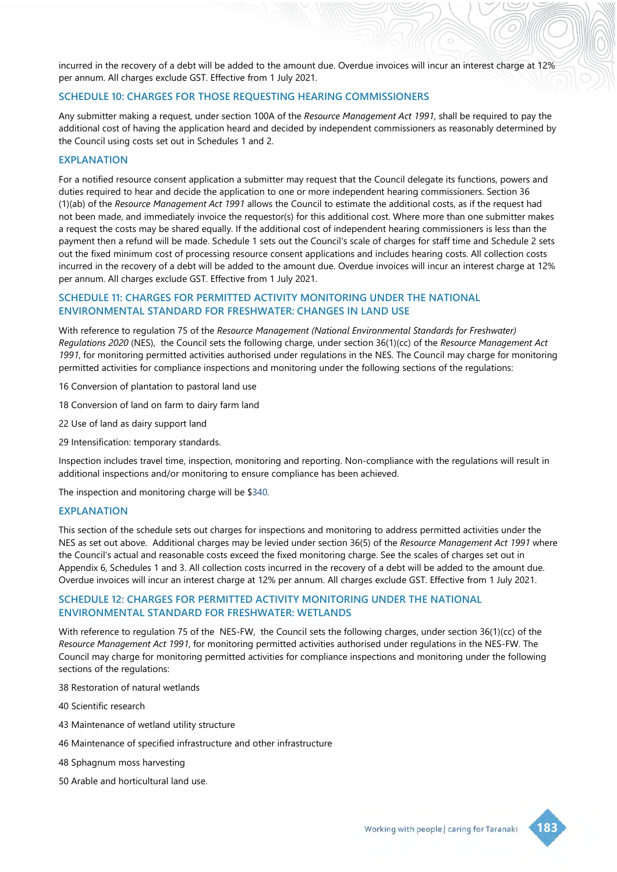incurred in the recovery of a debt will be added to the amount due. Overdue invoices will incur an interest charge at 12% per annum. All charges exclude GST. Effective from 1 July 2021.

#### **SCHEDULE 10: CHARGES FOR THOSE REQUESTING HEARING COMMISSIONERS**

Any submitter making a request, under section 100A of the *Resource Management Act 1991*, shall be required to pay the additional cost of having the application heard and decided by independent commissioners as reasonably determined by the Council using costs set out in Schedules 1 and 2.

#### **EXPLANATION**

For a notified resource consent application a submitter may request that the Council delegate its functions, powers and duties required to hear and decide the application to one or more independent hearing commissioners. Section 36 (1)(ab) of the *Resource Management Act 1991* allows the Council to estimate the additional costs, as if the request had not been made, and immediately invoice the requestor(s) for this additional cost. Where more than one submitter makes a request the costs may be shared equally. If the additional cost of independent hearing commissioners is less than the payment then a refund will be made. Schedule 1 sets out the Council's scale of charges for staff time and Schedule 2 sets out the fixed minimum cost of processing resource consent applications and includes hearing costs. All collection costs incurred in the recovery of a debt will be added to the amount due. Overdue invoices will incur an interest charge at 12% per annum. All charges exclude GST. Effective from 1 July 2021.

#### **SCHEDULE 11: CHARGES FOR PERMITTED ACTIVITY MONITORING UNDER THE NATIONAL ENVIRONMENTAL STANDARD FOR FRESHWATER: CHANGES IN LAND USE**

With reference to regulation 75 of the *Resource Management (National Environmental Standards for Freshwater) Regulations 2020* (NES), the Council sets the following charge, under section 36(1)(cc) of the *Resource Management Act 1991*, for monitoring permitted activities authorised under regulations in the NES. The Council may charge for monitoring permitted activities for compliance inspections and monitoring under the following sections of the regulations:

- 16 Conversion of plantation to pastoral land use
- 18 Conversion of land on farm to dairy farm land
- 22 Use of land as dairy support land
- 29 Intensification: temporary standards.

Inspection includes travel time, inspection, monitoring and reporting. Non-compliance with the regulations will result in additional inspections and/or monitoring to ensure compliance has been achieved.

The inspection and monitoring charge will be \$340.

#### **EXPLANATION**

This section of the schedule sets out charges for inspections and monitoring to address permitted activities under the NES as set out above. Additional charges may be levied under section 36(5) of the *Resource Management Act 1991* where the Council's actual and reasonable costs exceed the fixed monitoring charge. See the scales of charges set out in Appendix 6, Schedules 1 and 3. All collection costs incurred in the recovery of a debt will be added to the amount due. Overdue invoices will incur an interest charge at 12% per annum. All charges exclude GST. Effective from 1 July 2021.

#### **SCHEDULE 12: CHARGES FOR PERMITTED ACTIVITY MONITORING UNDER THE NATIONAL ENVIRONMENTAL STANDARD FOR FRESHWATER: WETLANDS**

With reference to regulation 75 of the NES-FW, the Council sets the following charges, under section 36(1)(cc) of the *Resource Management Act 1991*, for monitoring permitted activities authorised under regulations in the NES-FW. The Council may charge for monitoring permitted activities for compliance inspections and monitoring under the following sections of the regulations:

38 Restoration of natural wetlands

- 40 Scientific research
- 43 Maintenance of wetland utility structure
- 46 Maintenance of specified infrastructure and other infrastructure
- 48 Sphagnum moss harvesting
- 50 Arable and horticultural land use.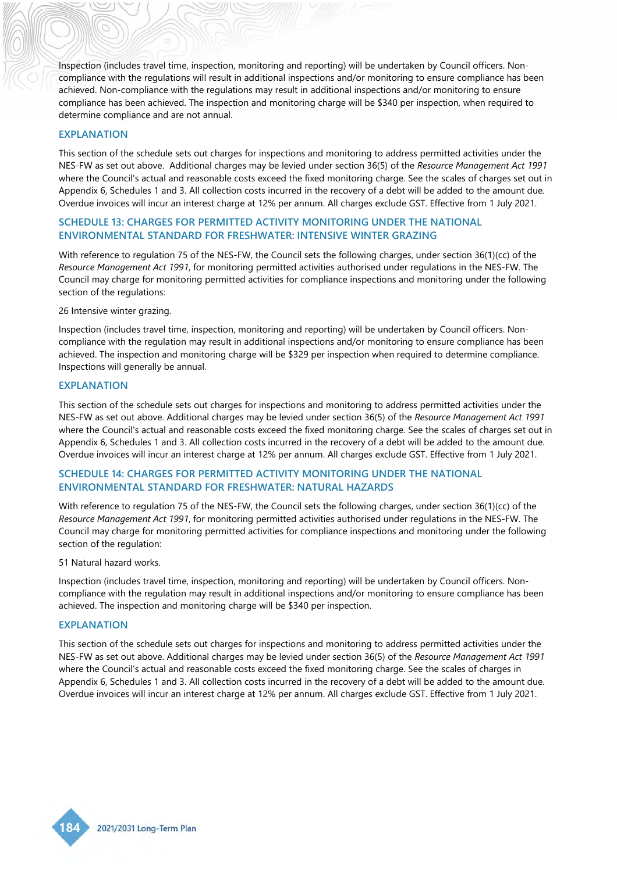Inspection (includes travel time, inspection, monitoring and reporting) will be undertaken by Council officers. Noncompliance with the regulations will result in additional inspections and/or monitoring to ensure compliance has been achieved. Non-compliance with the regulations may result in additional inspections and/or monitoring to ensure compliance has been achieved. The inspection and monitoring charge will be \$340 per inspection, when required to determine compliance and are not annual.

#### **EXPLANATION**

This section of the schedule sets out charges for inspections and monitoring to address permitted activities under the NES-FW as set out above. Additional charges may be levied under section 36(5) of the *Resource Management Act 1991* where the Council's actual and reasonable costs exceed the fixed monitoring charge. See the scales of charges set out in Appendix 6, Schedules 1 and 3. All collection costs incurred in the recovery of a debt will be added to the amount due. Overdue invoices will incur an interest charge at 12% per annum. All charges exclude GST. Effective from 1 July 2021.

## **SCHEDULE 13: CHARGES FOR PERMITTED ACTIVITY MONITORING UNDER THE NATIONAL ENVIRONMENTAL STANDARD FOR FRESHWATER: INTENSIVE WINTER GRAZING**

With reference to regulation 75 of the NES-FW, the Council sets the following charges, under section 36(1)(cc) of the *Resource Management Act 1991*, for monitoring permitted activities authorised under regulations in the NES-FW. The Council may charge for monitoring permitted activities for compliance inspections and monitoring under the following section of the regulations:

#### 26 Intensive winter grazing.

Inspection (includes travel time, inspection, monitoring and reporting) will be undertaken by Council officers. Noncompliance with the regulation may result in additional inspections and/or monitoring to ensure compliance has been achieved. The inspection and monitoring charge will be \$329 per inspection when required to determine compliance. Inspections will generally be annual.

#### **EXPLANATION**

This section of the schedule sets out charges for inspections and monitoring to address permitted activities under the NES-FW as set out above. Additional charges may be levied under section 36(5) of the *Resource Management Act 1991* where the Council's actual and reasonable costs exceed the fixed monitoring charge. See the scales of charges set out in Appendix 6, Schedules 1 and 3. All collection costs incurred in the recovery of a debt will be added to the amount due. Overdue invoices will incur an interest charge at 12% per annum. All charges exclude GST. Effective from 1 July 2021.

#### **SCHEDULE 14: CHARGES FOR PERMITTED ACTIVITY MONITORING UNDER THE NATIONAL ENVIRONMENTAL STANDARD FOR FRESHWATER: NATURAL HAZARDS**

With reference to regulation 75 of the NES-FW, the Council sets the following charges, under section 36(1)(cc) of the *Resource Management Act 1991*, for monitoring permitted activities authorised under regulations in the NES-FW. The Council may charge for monitoring permitted activities for compliance inspections and monitoring under the following section of the regulation:

#### 51 Natural hazard works.

Inspection (includes travel time, inspection, monitoring and reporting) will be undertaken by Council officers. Noncompliance with the regulation may result in additional inspections and/or monitoring to ensure compliance has been achieved. The inspection and monitoring charge will be \$340 per inspection.

#### **EXPLANATION**

This section of the schedule sets out charges for inspections and monitoring to address permitted activities under the NES-FW as set out above. Additional charges may be levied under section 36(5) of the *Resource Management Act 1991* where the Council's actual and reasonable costs exceed the fixed monitoring charge. See the scales of charges in Appendix 6, Schedules 1 and 3. All collection costs incurred in the recovery of a debt will be added to the amount due. Overdue invoices will incur an interest charge at 12% per annum. All charges exclude GST. Effective from 1 July 2021.

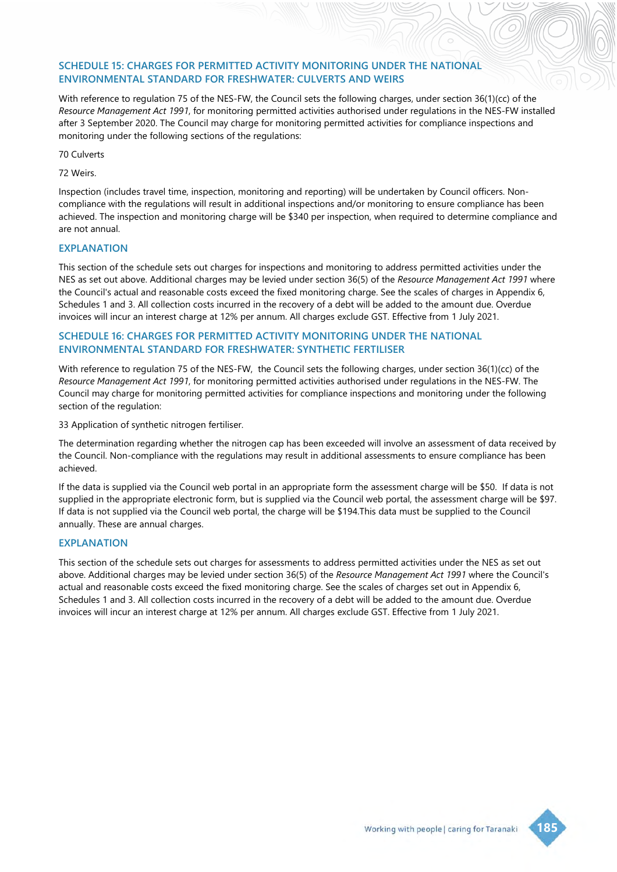## **SCHEDULE 15: CHARGES FOR PERMITTED ACTIVITY MONITORING UNDER THE NATIONAL ENVIRONMENTAL STANDARD FOR FRESHWATER: CULVERTS AND WEIRS**

With reference to regulation 75 of the NES-FW, the Council sets the following charges, under section 36(1)(cc) of the *Resource Management Act 1991*, for monitoring permitted activities authorised under regulations in the NES-FW installed after 3 September 2020. The Council may charge for monitoring permitted activities for compliance inspections and monitoring under the following sections of the regulations:

70 Culverts

#### 72 Weirs.

Inspection (includes travel time, inspection, monitoring and reporting) will be undertaken by Council officers. Noncompliance with the regulations will result in additional inspections and/or monitoring to ensure compliance has been achieved. The inspection and monitoring charge will be \$340 per inspection, when required to determine compliance and are not annual.

#### **EXPLANATION**

This section of the schedule sets out charges for inspections and monitoring to address permitted activities under the NES as set out above. Additional charges may be levied under section 36(5) of the *Resource Management Act 1991* where the Council's actual and reasonable costs exceed the fixed monitoring charge. See the scales of charges in Appendix 6, Schedules 1 and 3. All collection costs incurred in the recovery of a debt will be added to the amount due. Overdue invoices will incur an interest charge at 12% per annum. All charges exclude GST. Effective from 1 July 2021.

#### **SCHEDULE 16: CHARGES FOR PERMITTED ACTIVITY MONITORING UNDER THE NATIONAL ENVIRONMENTAL STANDARD FOR FRESHWATER: SYNTHETIC FERTILISER**

With reference to regulation 75 of the NES-FW, the Council sets the following charges, under section 36(1)(cc) of the *Resource Management Act 1991*, for monitoring permitted activities authorised under regulations in the NES-FW. The Council may charge for monitoring permitted activities for compliance inspections and monitoring under the following section of the regulation:

33 Application of synthetic nitrogen fertiliser.

The determination regarding whether the nitrogen cap has been exceeded will involve an assessment of data received by the Council. Non-compliance with the regulations may result in additional assessments to ensure compliance has been achieved.

If the data is supplied via the Council web portal in an appropriate form the assessment charge will be \$50. If data is not supplied in the appropriate electronic form, but is supplied via the Council web portal, the assessment charge will be \$97. If data is not supplied via the Council web portal, the charge will be \$194.This data must be supplied to the Council annually. These are annual charges.

#### **EXPLANATION**

This section of the schedule sets out charges for assessments to address permitted activities under the NES as set out above. Additional charges may be levied under section 36(5) of the *Resource Management Act 1991* where the Council's actual and reasonable costs exceed the fixed monitoring charge. See the scales of charges set out in Appendix 6, Schedules 1 and 3. All collection costs incurred in the recovery of a debt will be added to the amount due. Overdue invoices will incur an interest charge at 12% per annum. All charges exclude GST. Effective from 1 July 2021.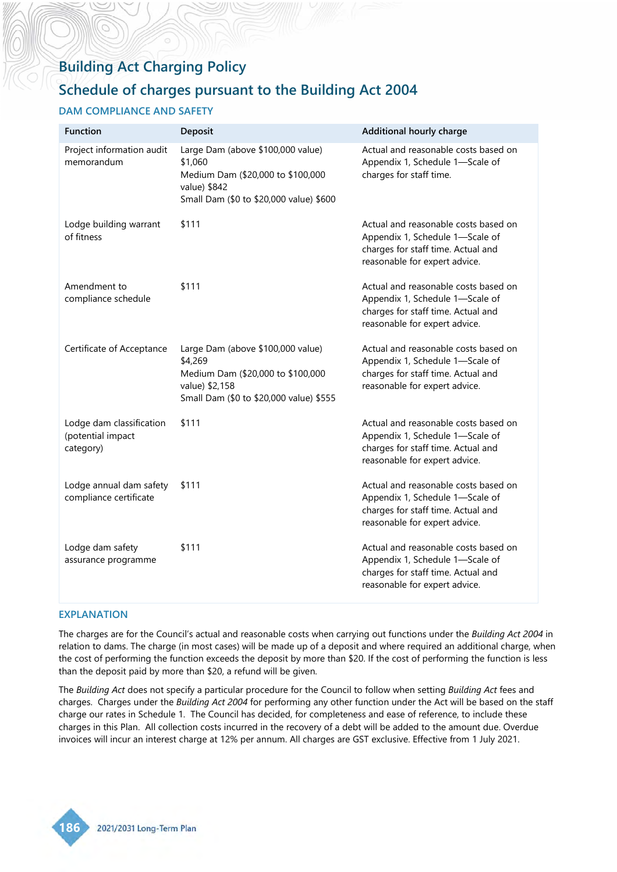# **Building Act Charging Policy**

# **Schedule of charges pursuant to the Building Act 2004**

# **DAM COMPLIANCE AND SAFETY**

| <b>Function</b>                                            | Deposit                                                                                                                                        | Additional hourly charge                                                                                                                       |
|------------------------------------------------------------|------------------------------------------------------------------------------------------------------------------------------------------------|------------------------------------------------------------------------------------------------------------------------------------------------|
| Project information audit<br>memorandum                    | Large Dam (above \$100,000 value)<br>\$1,060<br>Medium Dam (\$20,000 to \$100,000<br>value) \$842<br>Small Dam (\$0 to \$20,000 value) \$600   | Actual and reasonable costs based on<br>Appendix 1, Schedule 1-Scale of<br>charges for staff time.                                             |
| Lodge building warrant<br>of fitness                       | \$111                                                                                                                                          | Actual and reasonable costs based on<br>Appendix 1, Schedule 1-Scale of<br>charges for staff time. Actual and<br>reasonable for expert advice. |
| Amendment to<br>compliance schedule                        | \$111                                                                                                                                          | Actual and reasonable costs based on<br>Appendix 1, Schedule 1-Scale of<br>charges for staff time. Actual and<br>reasonable for expert advice. |
| Certificate of Acceptance                                  | Large Dam (above \$100,000 value)<br>\$4,269<br>Medium Dam (\$20,000 to \$100,000<br>value) \$2,158<br>Small Dam (\$0 to \$20,000 value) \$555 | Actual and reasonable costs based on<br>Appendix 1, Schedule 1-Scale of<br>charges for staff time. Actual and<br>reasonable for expert advice. |
| Lodge dam classification<br>(potential impact<br>category) | \$111                                                                                                                                          | Actual and reasonable costs based on<br>Appendix 1, Schedule 1-Scale of<br>charges for staff time. Actual and<br>reasonable for expert advice. |
| Lodge annual dam safety<br>compliance certificate          | \$111                                                                                                                                          | Actual and reasonable costs based on<br>Appendix 1, Schedule 1-Scale of<br>charges for staff time. Actual and<br>reasonable for expert advice. |
| Lodge dam safety<br>assurance programme                    | \$111                                                                                                                                          | Actual and reasonable costs based on<br>Appendix 1, Schedule 1-Scale of<br>charges for staff time. Actual and<br>reasonable for expert advice. |

## **EXPLANATION**

The charges are for the Council's actual and reasonable costs when carrying out functions under the *Building Act 2004* in relation to dams. The charge (in most cases) will be made up of a deposit and where required an additional charge, when the cost of performing the function exceeds the deposit by more than \$20. If the cost of performing the function is less than the deposit paid by more than \$20, a refund will be given.

The *Building Act* does not specify a particular procedure for the Council to follow when setting *Building Act* fees and charges. Charges under the *Building Act 2004* for performing any other function under the Act will be based on the staff charge our rates in Schedule 1. The Council has decided, for completeness and ease of reference, to include these charges in this Plan. All collection costs incurred in the recovery of a debt will be added to the amount due. Overdue invoices will incur an interest charge at 12% per annum. All charges are GST exclusive. Effective from 1 July 2021.